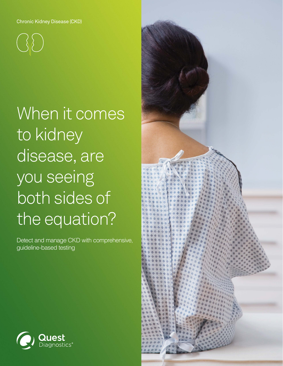Chronic Kidney Disease (CKD)

 $\begin{pmatrix} 1 & 1 \\ 1 & 1 \end{pmatrix}$ 

When it comes to kidney disease, are you seeing both sides of the equation?

Detect and manage CKD with comprehensive, guideline-based testing



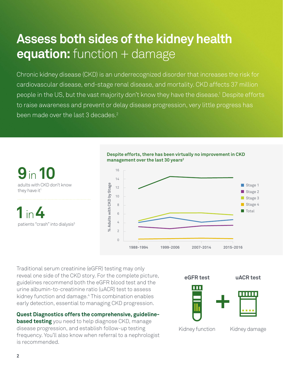# **Assess both sides of the kidney health equation:** function + damage

Chronic kidney disease (CKD) is an underrecognized disorder that increases the risk for cardiovascular disease, end-stage renal disease, and mortality. CKD affects 37 million people in the US, but the vast majority don't know they have the disease.<sup>1</sup> Despite efforts to raise awareness and prevent or delay disease progression, very little progress has been made over the last 3 decades.<sup>2</sup>



**1988-1994**

Traditional serum creatinine (eGFR) testing may only reveal one side of the CKD story. For the complete picture, guidelines recommend both the eGFR blood test and the urine albumin-to-creatinine ratio (uACR) test to assess kidney function and damage.4 This combination enables early detection, essential to managing CKD progression.

**Quest Diagnostics offers the comprehensive, guideline-**

**based testing** you need to help diagnose CKD, manage disease progression, and establish follow-up testing frequency. You'll also know when referral to a nephrologist is recommended.



**1999-2006 2007-2014 2015-2016**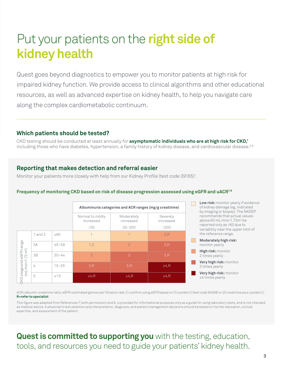# Put your patients on the **right side of kidney health**

Quest goes beyond diagnostics to empower you to monitor patients at high risk for impaired kidney function. We provide access to clinical algorithms and other educational resources, as well as advanced expertise on kidney health, to help you navigate care along the complex cardiometabolic continuum.

### **Which patients should be tested?**

CKD testing should be conducted at least annually for **asymptomatic individuals who are at high risk for CKD,1** including those who have diabetes, hypertension, a family history of kidney disease, and cardiovascular disease.<sup>5,6</sup>

## **Reporting that makes detection and referral easier**

Monitor your patients more closely with help from our Kidney Profile (test code 39165)\* .

|                                                                      |           |           | Albuminuria categories and ACR ranges (mg/g creatinine) |                         |                       | Low risk: monitor yearly if evidence<br>of kidney damage (eg, indicated<br>by imaging or biopsy). The NKDEP |
|----------------------------------------------------------------------|-----------|-----------|---------------------------------------------------------|-------------------------|-----------------------|-------------------------------------------------------------------------------------------------------------|
|                                                                      |           |           | Normal to mildly<br>increased                           | Moderately<br>increased | Severely<br>increased | recommends that actual values<br>above 60 mL/min/1.73m <sup>2</sup> be                                      |
|                                                                      |           |           | $30$                                                    | $30 - 300$              | >300                  | reported only as >60 due to<br>variability near the upper limit of                                          |
| range<br>$\frac{m}{n}$ 1.73 $m2$<br>eGFR<br>and<br>stage<br>Ē<br>QXQ | 1 and $2$ | $\geq 60$ |                                                         |                         | 2, R                  | the reference range.                                                                                        |
|                                                                      | 3A        | $45 - 59$ | 1,C                                                     | $\overline{2}$          | 3.R                   | Moderately high risk:<br>monitor yearly                                                                     |
|                                                                      | 3B        | $30 - 44$ | $\mathcal{P}$                                           | 3                       | 3,R                   | High risk: monitor<br>2 times yearly                                                                        |
|                                                                      | 4         | $15 - 29$ | 3.R                                                     | 3.R                     | $\geq 4, R$           | Very high risk: monitor<br>3 times yearly                                                                   |
|                                                                      | 5         | $<$ 15    | $\geq 4, R$                                             | $\geq 4, R$             | $\geq 4, R$           | Very high risk: monitor<br>$\geq$ 4 times yearly                                                            |

### **Frequency of monitoring CKD based on risk of disease progression assessed using eGFR and uACR7,8**

ACR=albumin-creatinine ratio; eGFR=estimated glomerular filtration rate; C=confirm using eGFR based on (1) cystatin C (test code 94588) or (2) creatinine plus cystatin C; **R=refer to specialist**

This figure was adapted from References 7 (with permission) and 8, is provided for informational purposes only as a guide for using laboratory tests, and is not intended as medical advice. A physician's test selection and interpretation, diagnosis, and patient management decisions should be based on his/her education, clinical expertise, and assessment of the patient.

**Quest is committed to supporting you** with the testing, education, tools, and resources you need to guide your patients' kidney health.